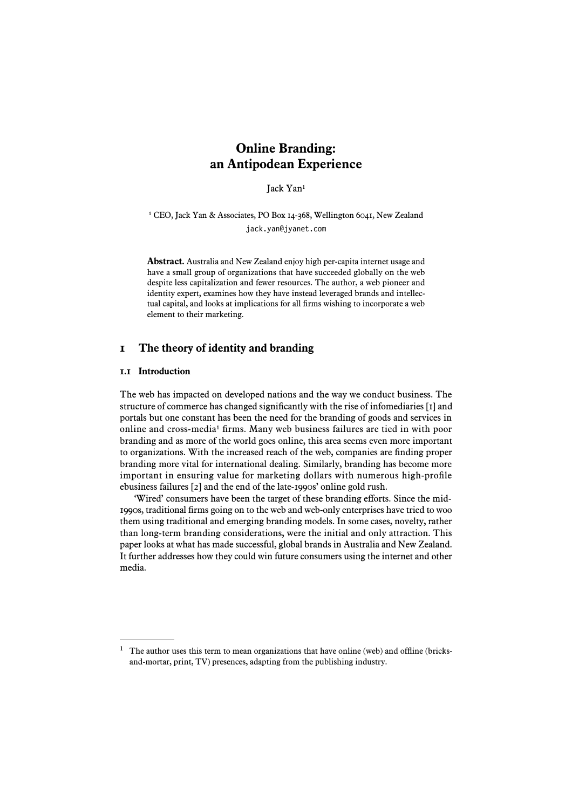# **Online Branding: an Antipodean Experience**

Jack Yan**<sup>1</sup>**

**<sup>1</sup>** CEO, Jack Yan & Associates, PO Box 14-368, Wellington 6041, New Zealand iack.van@ivanet.com

**Abstract.** Australia and New Zealand enjoy high per-capita internet usage and have a small group of organizations that have succeeded globally on the web despite less capitalization and fewer resources. The author, a web pioneer and identity expert, examines how they have instead leveraged brands and intellectual capital, and looks at implications for all firms wishing to incorporate a web element to their marketing.

## **1 The theory of identity and branding**

#### **1.1 Introduction**

The web has impacted on developed nations and the way we conduct business. The structure of commerce has changed signi{cantly with the rise of infomediaries [1] and portals but one constant has been the need for the branding of goods and services in online and cross-media**1** {rms. Many web business failures are tied in with poor branding and as more of the world goes online, this area seems even more important to organizations. With the increased reach of the web, companies are {nding proper branding more vital for international dealing. Similarly, branding has become more important in ensuring value for marketing dollars with numerous high-profile ebusiness failures [2] and the end of the late-1990s' online gold rush.

'Wired' consumers have been the target of these branding efforts. Since the mid-1990s, traditional {rms going on to the web and web-only enterprises have tried to woo them using traditional and emerging branding models. In some cases, novelty, rather than long-term branding considerations, were the initial and only attraction. This paper looks at what has made successful, global brands in Australia and New Zealand. It further addresses how they could win future consumers using the internet and other media.

<sup>&</sup>lt;sup>1</sup> The author uses this term to mean organizations that have online (web) and offline (bricksand-mortar, print, TV) presences, adapting from the publishing industry.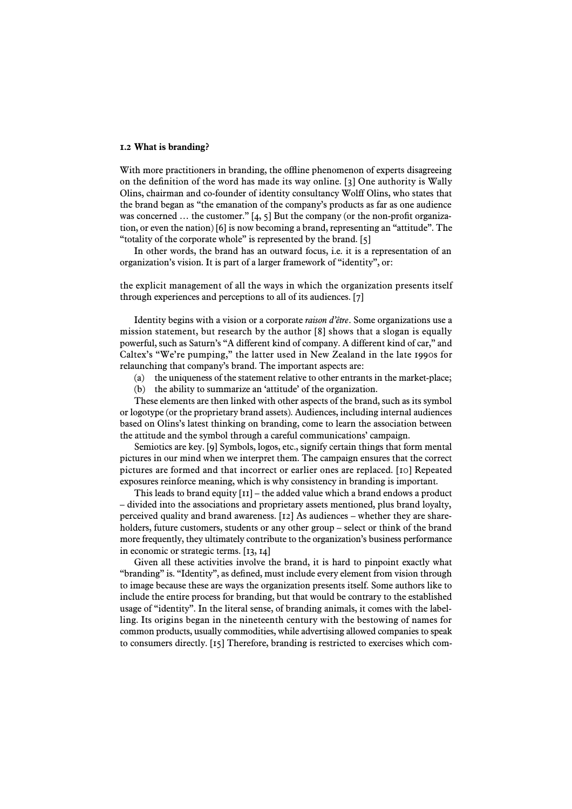#### **1.2 What is branding?**

With more practitioners in branding, the offline phenomenon of experts disagreeing on the definition of the word has made its way online. [3] One authority is Wally Olins, chairman and co-founder of identity consultancy Wolff Olins, who states that the brand began as "the emanation of the company's products as far as one audience was concerned ... the customer."  $[4, 5]$  But the company (or the non-profit organization, or even the nation) [6] is now becoming a brand, representing an "attitude". The "totality of the corporate whole" is represented by the brand. [5]

In other words, the brand has an outward focus, i.e. it is a representation of an organization's vision. It is part of a larger framework of "identity", or:

the explicit management of all the ways in which the organization presents itself through experiences and perceptions to all of its audiences. [7]

Identity begins with a vision or a corporate *raison d'être*. Some organizations use a mission statement, but research by the author [8] shows that a slogan is equally powerful, such as Saturn's "A different kind of company. A different kind of car," and Caltex's "We're pumping," the latter used in New Zealand in the late 1990s for relaunching that company's brand. The important aspects are:

- (a) the uniqueness of the statement relative to other entrants in the market-place;
- (b) the ability to summarize an 'attitude' of the organization.

These elements are then linked with other aspects of the brand, such as its symbol or logotype (or the proprietary brand assets). Audiences, including internal audiences based on Olins's latest thinking on branding, come to learn the association between the attitude and the symbol through a careful communications' campaign.

Semiotics are key. [9] Symbols, logos, etc., signify certain things that form mental pictures in our mind when we interpret them. The campaign ensures that the correct pictures are formed and that incorrect or earlier ones are replaced. [10] Repeated exposures reinforce meaning, which is why consistency in branding is important.

This leads to brand equity  $[I_1]$  – the added value which a brand endows a product – divided into the associations and proprietary assets mentioned, plus brand loyalty, perceived quality and brand awareness. [12] As audiences – whether they are shareholders, future customers, students or any other group – select or think of the brand more frequently, they ultimately contribute to the organization's business performance in economic or strategic terms. [13, 14]

Given all these activities involve the brand, it is hard to pinpoint exactly what "branding" is. "Identity", as defined, must include every element from vision through to image because these are ways the organization presents itself. Some authors like to include the entire process for branding, but that would be contrary to the established usage of "identity". In the literal sense, of branding animals, it comes with the labelling. Its origins began in the nineteenth century with the bestowing of names for common products, usually commodities, while advertising allowed companies to speak to consumers directly. [15] Therefore, branding is restricted to exercises which com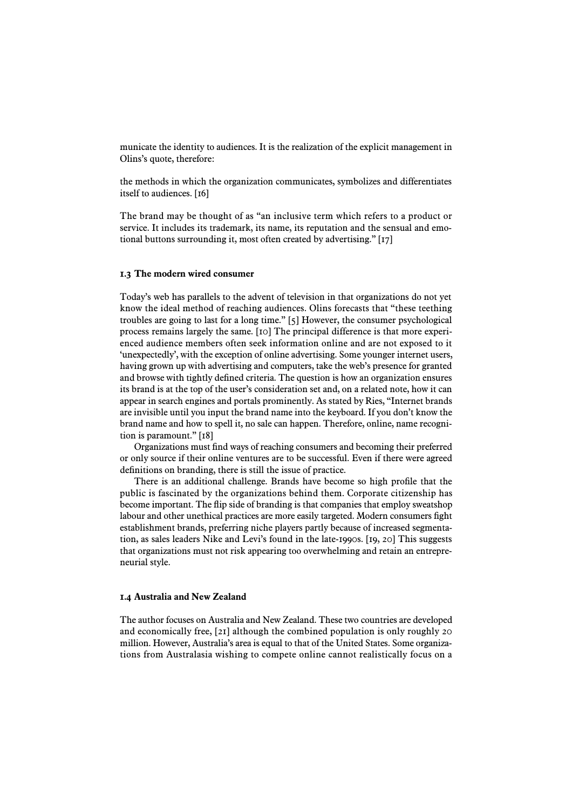municate the identity to audiences. It is the realization of the explicit management in Olins's quote, therefore:

the methods in which the organization communicates, symbolizes and differentiates itself to audiences. [16]

The brand may be thought of as "an inclusive term which refers to a product or service. It includes its trademark, its name, its reputation and the sensual and emotional buttons surrounding it, most often created by advertising." [17]

#### **1.3 The modern wired consumer**

Today's web has parallels to the advent of television in that organizations do not yet know the ideal method of reaching audiences. Olins forecasts that "these teething troubles are going to last for a long time." [5] However, the consumer psychological process remains largely the same. [10] The principal difference is that more experienced audience members often seek information online and are not exposed to it 'unexpectedly', with the exception of online advertising. Some younger internet users, having grown up with advertising and computers, take the web's presence for granted and browse with tightly defined criteria. The question is how an organization ensures its brand is at the top of the user's consideration set and, on a related note, how it can appear in search engines and portals prominently. As stated by Ries, "Internet brands are invisible until you input the brand name into the keyboard. If you don't know the brand name and how to spell it, no sale can happen. Therefore, online, name recognition is paramount." [18]

Organizations must {nd ways of reaching consumers and becoming their preferred or only source if their online ventures are to be successful. Even if there were agreed definitions on branding, there is still the issue of practice.

There is an additional challenge. Brands have become so high profile that the public is fascinated by the organizations behind them. Corporate citizenship has become important. The flip side of branding is that companies that employ sweatshop labour and other unethical practices are more easily targeted. Modern consumers {ght establishment brands, preferring niche players partly because of increased segmentation, as sales leaders Nike and Levi's found in the late-1990s. [19, 20] This suggests that organizations must not risk appearing too overwhelming and retain an entrepreneurial style.

#### **1.4 Australia and New Zealand**

The author focuses on Australia and New Zealand. These two countries are developed and economically free, [21] although the combined population is only roughly 20 million. However, Australia's area is equal to that of the United States. Some organizations from Australasia wishing to compete online cannot realistically focus on a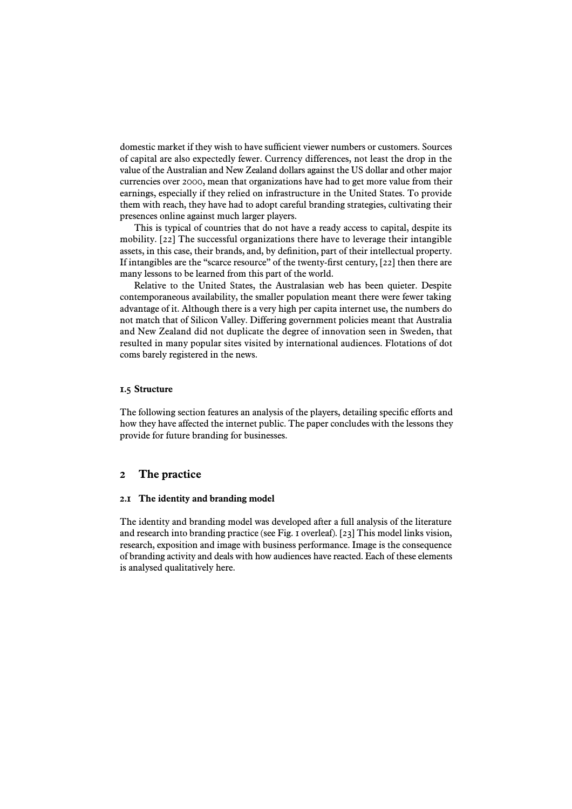domestic market if they wish to have sufficient viewer numbers or customers. Sources of capital are also expectedly fewer. Currency differences, not least the drop in the value of the Australian and New Zealand dollars against the US dollar and other major currencies over 2000, mean that organizations have had to get more value from their earnings, especially if they relied on infrastructure in the United States. To provide them with reach, they have had to adopt careful branding strategies, cultivating their presences online against much larger players.

This is typical of countries that do not have a ready access to capital, despite its mobility. [22] The successful organizations there have to leverage their intangible assets, in this case, their brands, and, by de{nition, part of their intellectual property. If intangibles are the "scarce resource" of the twenty-{rst century, [22] then there are many lessons to be learned from this part of the world.

Relative to the United States, the Australasian web has been quieter. Despite contemporaneous availability, the smaller population meant there were fewer taking advantage of it. Although there is a very high per capita internet use, the numbers do not match that of Silicon Valley. Differing government policies meant that Australia and New Zealand did not duplicate the degree of innovation seen in Sweden, that resulted in many popular sites visited by international audiences. Flotations of dot coms barely registered in the news.

#### **1.5 Structure**

The following section features an analysis of the players, detailing specific efforts and how they have affected the internet public. The paper concludes with the lessons they provide for future branding for businesses.

### **2 The practice**

## **2.1 The identity and branding model**

The identity and branding model was developed after a full analysis of the literature and research into branding practice (see Fig. 1 overleaf). [23] This model links vision, research, exposition and image with business performance. Image is the consequence of branding activity and deals with how audiences have reacted. Each of these elements is analysed qualitatively here.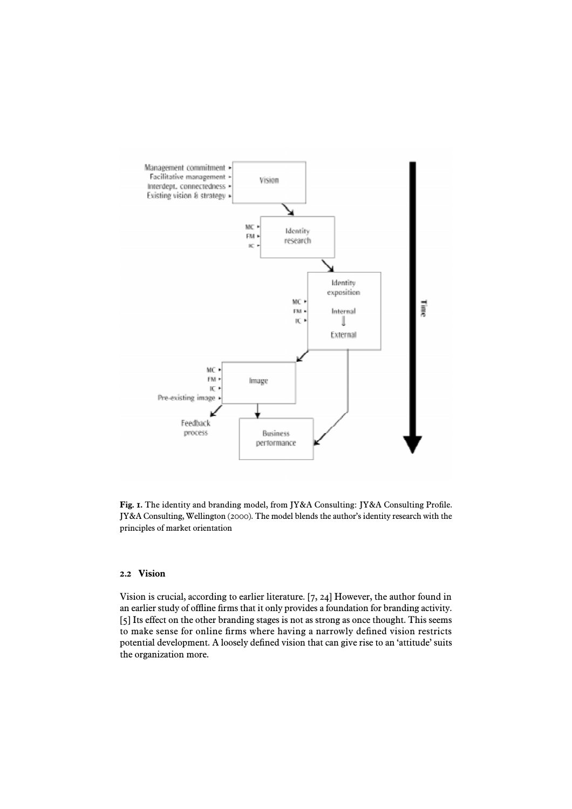

Fig. I. The identity and branding model, from JY&A Consulting: JY&A Consulting Profile. JY&A Consulting, Wellington (2000). The model blends the author's identity research with the principles of market orientation

## **2.2 Vision**

Vision is crucial, according to earlier literature. [7, 24] However, the author found in an earlier study of offline firms that it only provides a foundation for branding activity. [5] Its effect on the other branding stages is not as strong as once thought. This seems to make sense for online firms where having a narrowly defined vision restricts potential development. A loosely defined vision that can give rise to an 'attitude' suits the organization more.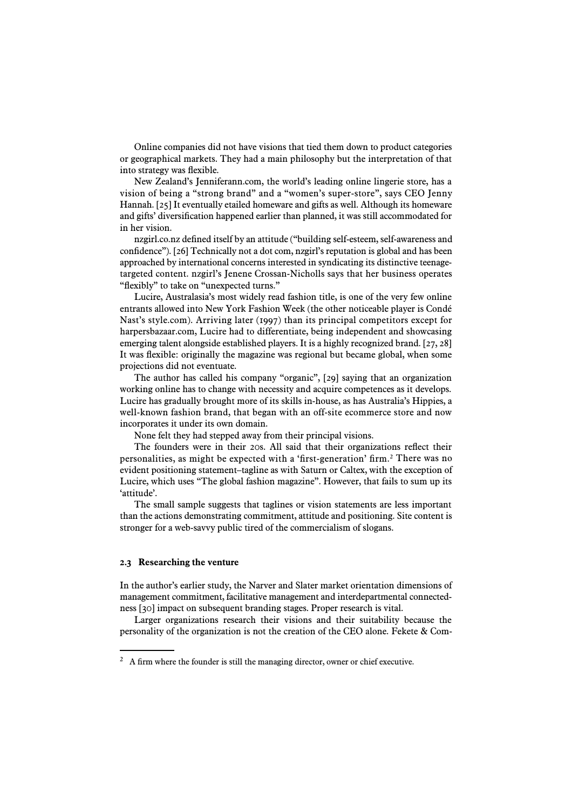Online companies did not have visions that tied them down to product categories or geographical markets. They had a main philosophy but the interpretation of that into strategy was flexible.

New Zealand's Jenniferann.com, the world's leading online lingerie store, has a vision of being a "strong brand" and a "women's super-store", says CEO Jenny Hannah. [25] It eventually etailed homeware and gifts as well. Although its homeware and gifts' diversification happened earlier than planned, it was still accommodated for in her vision.

nzgirl.co.nz defined itself by an attitude ("building self-esteem, self-awareness and confidence"). [26] Technically not a dot com, nzgirl's reputation is global and has been approached by international concerns interested in syndicating its distinctive teenagetargeted content. nzgirl's Jenene Crossan-Nicholls says that her business operates "flexibly" to take on "unexpected turns."

Lucire, Australasia's most widely read fashion title, is one of the very few online entrants allowed into New York Fashion Week (the other noticeable player is Condé Nast's style.com). Arriving later (1997) than its principal competitors except for harpersbazaar.com, Lucire had to differentiate, being independent and showcasing emerging talent alongside established players. It is a highly recognized brand. [27, 28] It was flexible: originally the magazine was regional but became global, when some projections did not eventuate.

The author has called his company "organic", [29] saying that an organization working online has to change with necessity and acquire competences as it develops. Lucire has gradually brought more of its skills in-house, as has Australia's Hippies, a well-known fashion brand, that began with an off-site ecommerce store and now incorporates it under its own domain.

None felt they had stepped away from their principal visions.

The founders were in their 20s. All said that their organizations reflect their personalities, as might be expected with a 'first-generation' firm.<sup>2</sup> There was no evident positioning statement–tagline as with Saturn or Caltex, with the exception of Lucire, which uses "The global fashion magazine". However, that fails to sum up its 'attitude'.

The small sample suggests that taglines or vision statements are less important than the actions demonstrating commitment, attitude and positioning. Site content is stronger for a web-savvy public tired of the commercialism of slogans.

#### **2.3 Researching the venture**

In the author's earlier study, the Narver and Slater market orientation dimensions of management commitment, facilitative management and interdepartmental connectedness [30] impact on subsequent branding stages. Proper research is vital.

Larger organizations research their visions and their suitability because the personality of the organization is not the creation of the CEO alone. Fekete & Com-

<sup>&</sup>lt;sup>2</sup> A firm where the founder is still the managing director, owner or chief executive.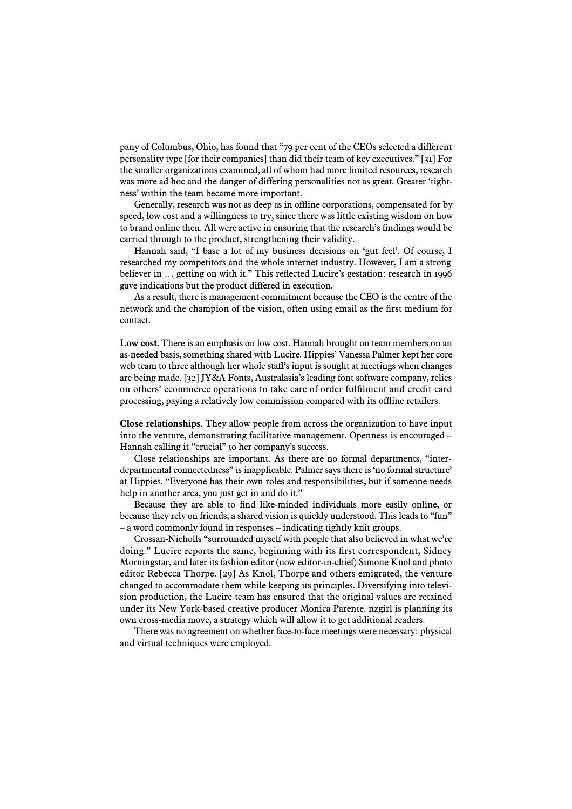pany of Columbus, Ohio, has found that "79 per cent of the CEOs selected a different personality type [for their companies] than did their team of key executives." [31] For the smaller organizations examined, all of whom had more limited resources, research was more ad hoc and the danger of differing personalities not as great. Greater 'tightness' within the team became more important.

Generally, research was not as deep as in offline corporations, compensated for by speed, low cost and a willingness to try, since there was little existing wisdom on how to brand online then. All were active in ensuring that the research's {ndings would be carried through to the product, strengthening their validity.

Hannah said, "I base a lot of my business decisions on 'gut feel'. Of course, I researched my competitors and the whole internet industry. However, I am a strong believer in ... getting on with it." This reflected Lucire's gestation: research in 1996 gave indications but the product differed in execution.

As a result, there is management commitment because the CEO is the centre of the network and the champion of the vision, often using email as the first medium for contact.

Low cost. There is an emphasis on low cost. Hannah brought on team members on an as-needed basis, something shared with Lucire. Hippies' Vanessa Palmer kept her core web team to three although her whole staff's input is sought at meetings when changes are being made. [32] JY&A Fonts, Australasia's leading font software company, relies on others' ecommerce operations to take care of order fulfilment and credit card processing, paying a relatively low commission compared with its offline retailers.

**Close relationships.** They allow people from across the organization to have input into the venture, demonstrating facilitative management. Openness is encouraged – Hannah calling it "crucial" to her company's success.

Close relationships are important. As there are no formal departments, "interdepartmental connectedness" is inapplicable. Palmer says there is 'no formal structure' at Hippies. "Everyone has their own roles and responsibilities, but if someone needs help in another area, you just get in and do it."

Because they are able to find like-minded individuals more easily online, or because they rely on friends, a shared vision is quickly understood. This leads to "fun" – a word commonly found in responses – indicating tightly knit groups.

Crossan-Nicholls "surrounded myself with people that also believed in what we're doing." Lucire reports the same, beginning with its first correspondent, Sidney Morningstar, and later its fashion editor (now editor-in-chief) Simone Knol and photo editor Rebecca Thorpe. [29] As Knol, Thorpe and others emigrated, the venture changed to accommodate them while keeping its principles. Diversifying into television production, the Lucire team has ensured that the original values are retained under its New York-based creative producer Monica Parente. nzgirl is planning its own cross-media move, a strategy which will allow it to get additional readers.

There was no agreement on whether face-to-face meetings were necessary: physical and virtual techniques were employed.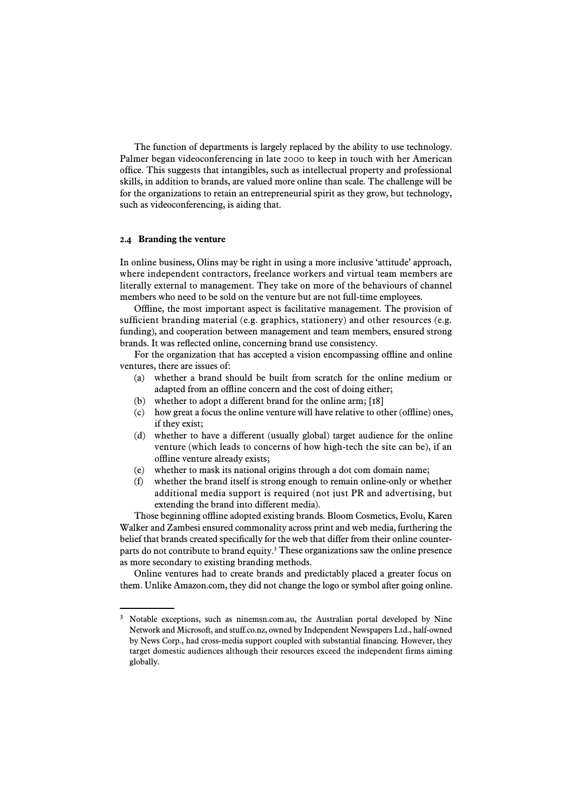The function of departments is largely replaced by the ability to use technology. Palmer began videoconferencing in late 2000 to keep in touch with her American office. This suggests that intangibles, such as intellectual property and professional skills, in addition to brands, are valued more online than scale. The challenge will be for the organizations to retain an entrepreneurial spirit as they grow, but technology, such as videoconferencing, is aiding that.

#### **2.4 Branding the venture**

In online business, Olins may be right in using a more inclusive 'attitude' approach, where independent contractors, freelance workers and virtual team members are literally external to management. They take on more of the behaviours of channel members who need to be sold on the venture but are not full-time employees.

Offline, the most important aspect is facilitative management. The provision of sufficient branding material (e.g. graphics, stationery) and other resources (e.g. funding), and cooperation between management and team members, ensured strong brands. It was reflected online, concerning brand use consistency.

For the organization that has accepted a vision encompassing offline and online ventures, there are issues of:

- (a) whether a brand should be built from scratch for the online medium or adapted from an offline concern and the cost of doing either;
- (b) whether to adopt a different brand for the online arm; [18]
- $(c)$  how great a focus the online venture will have relative to other (offline) ones, if they exist;
- (d) whether to have a different (usually global) target audience for the online venture (which leads to concerns of how high-tech the site can be), if an offline venture already exists;
- (e) whether to mask its national origins through a dot com domain name;
- (f) whether the brand itself is strong enough to remain online-only or whether additional media support is required (not just PR and advertising, but extending the brand into different media).

Those beginning offline adopted existing brands. Bloom Cosmetics, Evolu, Karen Walker and Zambesi ensured commonality across print and web media, furthering the belief that brands created specifically for the web that differ from their online counterparts do not contribute to brand equity.**3** These organizations saw the online presence as more secondary to existing branding methods.

Online ventures had to create brands and predictably placed a greater focus on them. Unlike Amazon.com, they did not change the logo or symbol after going online.

**<sup>3</sup>** Notable exceptions, such as ninemsn.com.au, the Australian portal developed by Nine Network and Microsoft, and stuff.co.nz, owned by Independent Newspapers Ltd., half-owned by News Corp., had cross-media support coupled with substantial financing. However, they target domestic audiences although their resources exceed the independent firms aiming globally.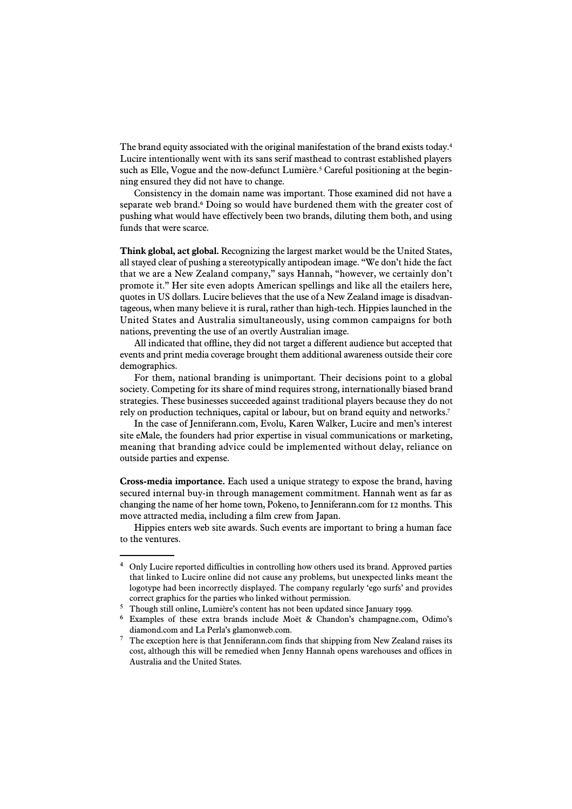The brand equity associated with the original manifestation of the brand exists today.**<sup>4</sup>** Lucire intentionally went with its sans serif masthead to contrast established players such as Elle, Vogue and the now-defunct Lumière.**5** Careful positioning at the beginning ensured they did not have to change.

Consistency in the domain name was important. Those examined did not have a separate web brand.**6** Doing so would have burdened them with the greater cost of pushing what would have effectively been two brands, diluting them both, and using funds that were scarce.

**Think global, act global.** Recognizing the largest market would be the United States, all stayed clear of pushing a stereotypically antipodean image. "We don't hide the fact that we are a New Zealand company," says Hannah, "however, we certainly don't promote it." Her site even adopts American spellings and like all the etailers here, quotes in US dollars. Lucire believes that the use of a New Zealand image is disadvantageous, when many believe it is rural, rather than high-tech. Hippies launched in the United States and Australia simultaneously, using common campaigns for both nations, preventing the use of an overtly Australian image.

All indicated that offline, they did not target a different audience but accepted that events and print media coverage brought them additional awareness outside their core demographics.

For them, national branding is unimportant. Their decisions point to a global society. Competing for its share of mind requires strong, internationally biased brand strategies. These businesses succeeded against traditional players because they do not rely on production techniques, capital or labour, but on brand equity and networks.**<sup>7</sup>**

In the case of Jenniferann.com, Evolu, Karen Walker, Lucire and men's interest site eMale, the founders had prior expertise in visual communications or marketing, meaning that branding advice could be implemented without delay, reliance on outside parties and expense.

**Cross-media importance.** Each used a unique strategy to expose the brand, having secured internal buy-in through management commitment. Hannah went as far as changing the name of her home town, Pokeno, to Jenniferann.com for 12 months. This move attracted media, including a film crew from Japan.

Hippies enters web site awards. Such events are important to bring a human face to the ventures.

**<sup>4</sup>** Only Lucire reported difficulties in controlling how others used its brand. Approved parties that linked to Lucire online did not cause any problems, but unexpected links meant the logotype had been incorrectly displayed. The company regularly 'ego surfs' and provides correct graphics for the parties who linked without permission.

**<sup>5</sup>** Though still online, Lumière's content has not been updated since January 1999.

**<sup>6</sup>** Examples of these extra brands include Moët & Chandon's champagne.com, Odimo's diamond.com and La Perla's glamonweb.com.

**<sup>7</sup>** The exception here is that Jenniferann.com finds that shipping from New Zealand raises its cost, although this will be remedied when Jenny Hannah opens warehouses and offices in Australia and the United States.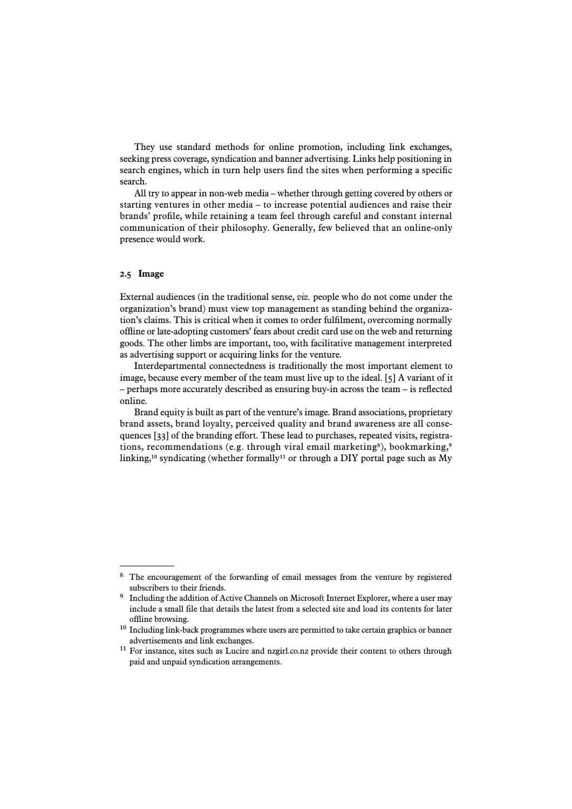They use standard methods for online promotion, including link exchanges, seeking press coverage, syndication and banner advertising. Links help positioning in search engines, which in turn help users find the sites when performing a specific search.

All try to appear in non-web media – whether through getting covered by others or starting ventures in other media – to increase potential audiences and raise their brands' profile, while retaining a team feel through careful and constant internal communication of their philosophy. Generally, few believed that an online-only presence would work.

#### **2.5 Image**

External audiences (in the traditional sense, *viz.* people who do not come under the organization's brand) must view top management as standing behind the organization's claims. This is critical when it comes to order ful{lment, overcoming normally offline or late-adopting customers' fears about credit card use on the web and returning goods. The other limbs are important, too, with facilitative management interpreted as advertising support or acquiring links for the venture.

Interdepartmental connectedness is traditionally the most important element to image, because every member of the team must live up to the ideal. [5] A variant of it – perhaps more accurately described as ensuring buy-in across the team – is reflected online.

Brand equity is built as part of the venture's image. Brand associations, proprietary brand assets, brand loyalty, perceived quality and brand awareness are all consequences [33] of the branding effort. These lead to purchases, repeated visits, registrations, recommendations (e.g. through viral email marketing**8**), bookmarking,**<sup>9</sup>** linking,**10** syndicating (whether formally**11** or through a DIY portal page such as My

**<sup>8</sup>** The encouragement of the forwarding of email messages from the venture by registered subscribers to their friends.

<sup>&</sup>lt;sup>9</sup> Including the addition of Active Channels on Microsoft Internet Explorer, where a user may include a small file that details the latest from a selected site and load its contents for later offline browsing.

**<sup>10</sup>** Including link-back programmes where users are permitted to take certain graphics or banner advertisements and link exchanges.

**<sup>11</sup>** For instance, sites such as Lucire and nzgirl.co.nz provide their content to others through paid and unpaid syndication arrangements.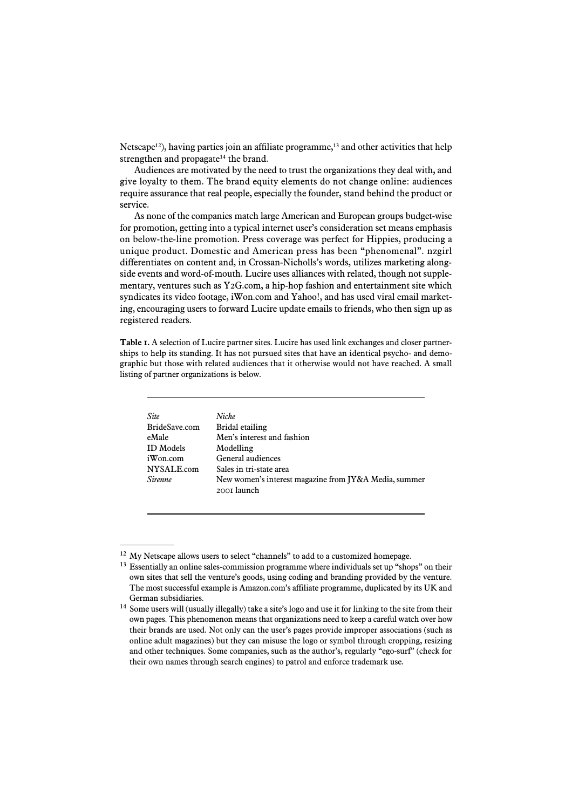Netscape**12**), having parties join an af{liate programme,**13** and other activities that help strengthen and propagate**14** the brand.

Audiences are motivated by the need to trust the organizations they deal with, and give loyalty to them. The brand equity elements do not change online: audiences require assurance that real people, especially the founder, stand behind the product or service.

As none of the companies match large American and European groups budget-wise for promotion, getting into a typical internet user's consideration set means emphasis on below-the-line promotion. Press coverage was perfect for Hippies, producing a unique product. Domestic and American press has been "phenomenal". nzgirl differentiates on content and, in Crossan-Nicholls's words, utilizes marketing alongside events and word-of-mouth. Lucire uses alliances with related, though not supplementary, ventures such as Y2G.com, a hip-hop fashion and entertainment site which syndicates its video footage, iWon.com and Yahoo!, and has used viral email marketing, encouraging users to forward Lucire update emails to friends, who then sign up as registered readers.

Table I. A selection of Lucire partner sites. Lucire has used link exchanges and closer partnerships to help its standing. It has not pursued sites that have an identical psycho- and demographic but those with related audiences that it otherwise would not have reached. A small listing of partner organizations is below.

| <b>Site</b>      | Niche                                                 |
|------------------|-------------------------------------------------------|
| BrideSave.com    | Bridal etailing                                       |
| eMale            | Men's interest and fashion                            |
| <b>ID</b> Models | Modelling                                             |
| iWon.com         | General audiences                                     |
| NYSALE.com       | Sales in tri-state area                               |
| <i>Sirenne</i>   | New women's interest magazine from JY&A Media, summer |
|                  | 2001 launch                                           |
|                  |                                                       |

**<sup>12</sup>** My Netscape allows users to select "channels" to add to a customized homepage.

**<sup>13</sup>** Essentially an online sales-commission programme where individuals set up "shops" on their own sites that sell the venture's goods, using coding and branding provided by the venture. The most successful example is Amazon.com's affiliate programme, duplicated by its UK and German subsidiaries.

**<sup>14</sup>** Some users will (usually illegally) take a site's logo and use it for linking to the site from their own pages. This phenomenon means that organizations need to keep a careful watch over how their brands are used. Not only can the user's pages provide improper associations (such as online adult magazines) but they can misuse the logo or symbol through cropping, resizing and other techniques. Some companies, such as the author's, regularly "ego-surf" (check for their own names through search engines) to patrol and enforce trademark use.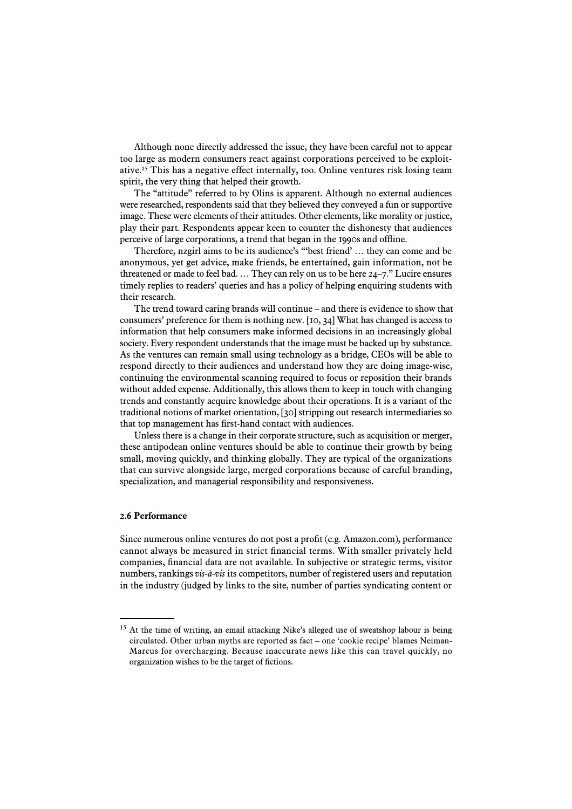Although none directly addressed the issue, they have been careful not to appear too large as modern consumers react against corporations perceived to be exploitative.**15** This has a negative effect internally, too. Online ventures risk losing team spirit, the very thing that helped their growth.

The "attitude" referred to by Olins is apparent. Although no external audiences were researched, respondents said that they believed they conveyed a fun or supportive image. These were elements of their attitudes. Other elements, like morality or justice, play their part. Respondents appear keen to counter the dishonesty that audiences perceive of large corporations, a trend that began in the 1990s and offline.

Therefore, nzgirl aims to be its audience's "'best friend' … they can come and be anonymous, yet get advice, make friends, be entertained, gain information, not be threatened or made to feel bad. … They can rely on us to be here 24–7." Lucire ensures timely replies to readers' queries and has a policy of helping enquiring students with their research.

The trend toward caring brands will continue – and there is evidence to show that consumers' preference for them is nothing new. [10, 34] What has changed is access to information that help consumers make informed decisions in an increasingly global society. Every respondent understands that the image must be backed up by substance. As the ventures can remain small using technology as a bridge, CEOs will be able to respond directly to their audiences and understand how they are doing image-wise, continuing the environmental scanning required to focus or reposition their brands without added expense. Additionally, this allows them to keep in touch with changing trends and constantly acquire knowledge about their operations. It is a variant of the traditional notions of market orientation, [30] stripping out research intermediaries so that top management has first-hand contact with audiences.

Unless there is a change in their corporate structure, such as acquisition or merger, these antipodean online ventures should be able to continue their growth by being small, moving quickly, and thinking globally. They are typical of the organizations that can survive alongside large, merged corporations because of careful branding, specialization, and managerial responsibility and responsiveness.

#### **2.6 Performance**

Since numerous online ventures do not post a profit (e.g. Amazon.com), performance cannot always be measured in strict financial terms. With smaller privately held companies, {nancial data are not available. In subjective or strategic terms, visitor numbers, rankings *vis-à-vis* its competitors, number of registered users and reputation in the industry (judged by links to the site, number of parties syndicating content or

**<sup>15</sup>** At the time of writing, an email attacking Nike's alleged use of sweatshop labour is being circulated. Other urban myths are reported as fact – one 'cookie recipe' blames Neiman-Marcus for overcharging. Because inaccurate news like this can travel quickly, no organization wishes to be the target of fictions.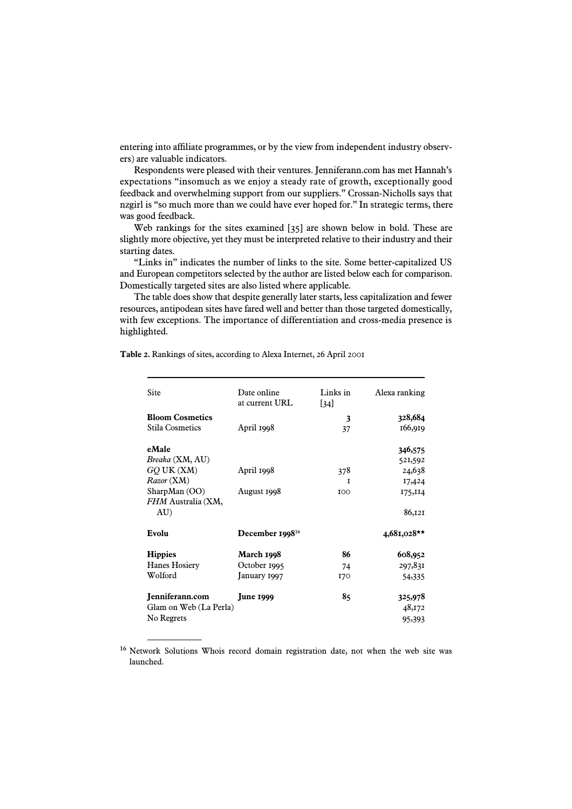entering into affiliate programmes, or by the view from independent industry observers) are valuable indicators.

Respondents were pleased with their ventures. Jenniferann.com has met Hannah's expectations "insomuch as we enjoy a steady rate of growth, exceptionally good feedback and overwhelming support from our suppliers." Crossan-Nicholls says that nzgirl is "so much more than we could have ever hoped for." In strategic terms, there was good feedback.

Web rankings for the sites examined [35] are shown below in bold. These are slightly more objective, yet they must be interpreted relative to their industry and their starting dates.

"Links in" indicates the number of links to the site. Some better-capitalized US and European competitors selected by the author are listed below each for comparison. Domestically targeted sites are also listed where applicable.

The table does show that despite generally later starts, less capitalization and fewer resources, antipodean sites have fared well and better than those targeted domestically, with few exceptions. The importance of differentiation and cross-media presence is highlighted.

| Site                            | Date online<br>at current URL | Links in<br>[34] | Alexa ranking |
|---------------------------------|-------------------------------|------------------|---------------|
| <b>Bloom Cosmetics</b>          |                               | 3                | 328,684       |
| <b>Stila Cosmetics</b>          | April 1998                    | 37               | 166,919       |
| eMale                           |                               |                  | 346,575       |
| Breaka (XM, AU)                 |                               |                  | 521,592       |
| $GQ$ UK $(XM)$                  | April 1998                    | 378              | 24,638        |
| Razor (XM)                      |                               | т                | 17,424        |
| SharpMan (OO)                   | August 1998                   | <b>IOO</b>       | 175,114       |
| <i>FHM</i> Australia (XM,<br>AU |                               |                  | 86,121        |
| Evolu                           | December 1998 <sup>16</sup>   |                  | 4,681,028**   |
| <b>Hippies</b>                  | March 1998                    | 86               | 608,952       |
| <b>Hanes Hosiery</b>            | October 1995                  | 74               | 297,831       |
| Wolford                         | January 1997                  | <b>170</b>       | 54,335        |
| Jenniferann.com                 | <b>June 1999</b>              | 85               | 325,978       |
| Glam on Web (La Perla)          |                               |                  | 48,172        |
| No Regrets                      |                               |                  | 95,393        |

**Table 2.** Rankings of sites, according to Alexa Internet, 26 April 2001

**<sup>16</sup>** Network Solutions Whois record domain registration date, not when the web site was launched.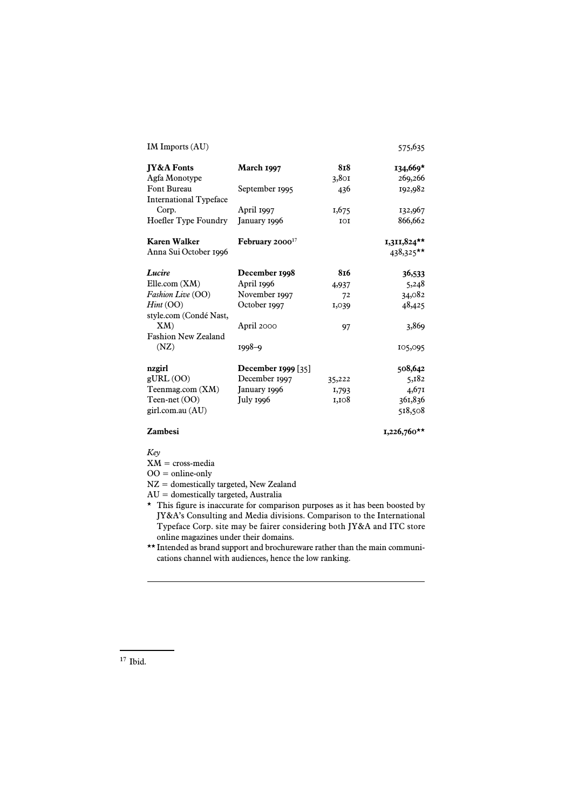## IM Imports (AU) 575,635

| <b>JY&amp;A Fonts</b>         | March 1997           | 818    | 134,669*    |
|-------------------------------|----------------------|--------|-------------|
| Agfa Monotype                 |                      | 3,80I  | 269,266     |
| Font Bureau                   | September 1995       | 436    | 192,982     |
| <b>International Typeface</b> |                      |        |             |
| Corp.                         | April 1997           | 1,675  | 132,967     |
| Hoefler Type Foundry          | January 1996         | IOI    | 866,662     |
| <b>Karen Walker</b>           | February $2000^{17}$ |        | 1,311,824** |
| Anna Sui October 1996         |                      |        | 438,325**   |
| Lucire                        | December 1998        | 816    | 36,533      |
| Elle.com (XM)                 | April 1996           | 4,937  | 5,248       |
| Fashion Live (OO)             | November 1997        | 72     | 34,082      |
| Hint(00)                      | October 1997         | 1,039  | 48,425      |
| style.com (Condé Nast,        |                      |        |             |
| XM)                           | April 2000           | 97     | 3,869       |
| <b>Fashion New Zealand</b>    |                      |        |             |
| (NZ)                          | 1998-9               |        | 105,095     |
| nzgirl                        | December 1999 [35]   |        | 508,642     |
| gURL (OO)                     | December 1997        | 35,222 | 5,182       |
| Teenmag.com (XM)              | January 1996         | I,793  | 4,67I       |
| Teen-net $(OO)$               | July 1996            | 1,108  | 361,836     |
| girl.com.au (AU)              |                      |        | 518,508     |

## **Zambesi 1,226,760**\*\*

*Key*

 $XM = cross-media$ 

 $OO = online-only$ 

NZ = domestically targeted, New Zealand

AU = domestically targeted, Australia

\* This figure is inaccurate for comparison purposes as it has been boosted by JY&A's Consulting and Media divisions. Comparison to the International Typeface Corp. site may be fairer considering both JY&A and ITC store online magazines under their domains.

\*\* Intended as brand support and brochureware rather than the main communications channel with audiences, hence the low ranking.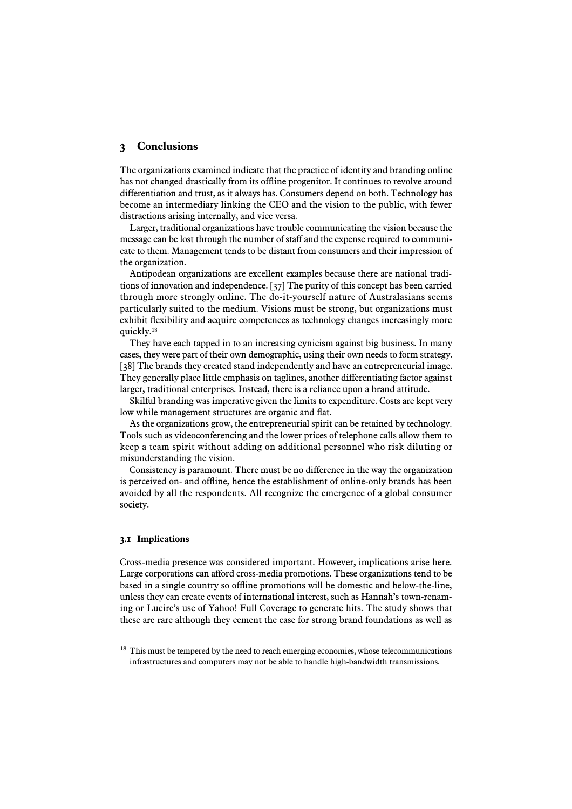## **3 Conclusions**

The organizations examined indicate that the practice of identity and branding online has not changed drastically from its offline progenitor. It continues to revolve around differentiation and trust, as it always has. Consumers depend on both. Technology has become an intermediary linking the CEO and the vision to the public, with fewer distractions arising internally, and vice versa.

Larger, traditional organizations have trouble communicating the vision because the message can be lost through the number of staff and the expense required to communicate to them. Management tends to be distant from consumers and their impression of the organization.

Antipodean organizations are excellent examples because there are national traditions of innovation and independence. [37] The purity of this concept has been carried through more strongly online. The do-it-yourself nature of Australasians seems particularly suited to the medium. Visions must be strong, but organizations must exhibit flexibility and acquire competences as technology changes increasingly more quickly.**<sup>18</sup>**

They have each tapped in to an increasing cynicism against big business. In many cases, they were part of their own demographic, using their own needs to form strategy. [38] The brands they created stand independently and have an entrepreneurial image. They generally place little emphasis on taglines, another differentiating factor against larger, traditional enterprises. Instead, there is a reliance upon a brand attitude.

Skilful branding was imperative given the limits to expenditure. Costs are kept very low while management structures are organic and flat.

As the organizations grow, the entrepreneurial spirit can be retained by technology. Tools such as videoconferencing and the lower prices of telephone calls allow them to keep a team spirit without adding on additional personnel who risk diluting or misunderstanding the vision.

Consistency is paramount. There must be no difference in the way the organization is perceived on- and offline, hence the establishment of online-only brands has been avoided by all the respondents. All recognize the emergence of a global consumer society.

#### **3.1 Implications**

Cross-media presence was considered important. However, implications arise here. Large corporations can afford cross-media promotions. These organizations tend to be based in a single country so offline promotions will be domestic and below-the-line, unless they can create events of international interest, such as Hannah's town-renaming or Lucire's use of Yahoo! Full Coverage to generate hits. The study shows that these are rare although they cement the case for strong brand foundations as well as

**<sup>18</sup>** This must be tempered by the need to reach emerging economies, whose telecommunications infrastructures and computers may not be able to handle high-bandwidth transmissions.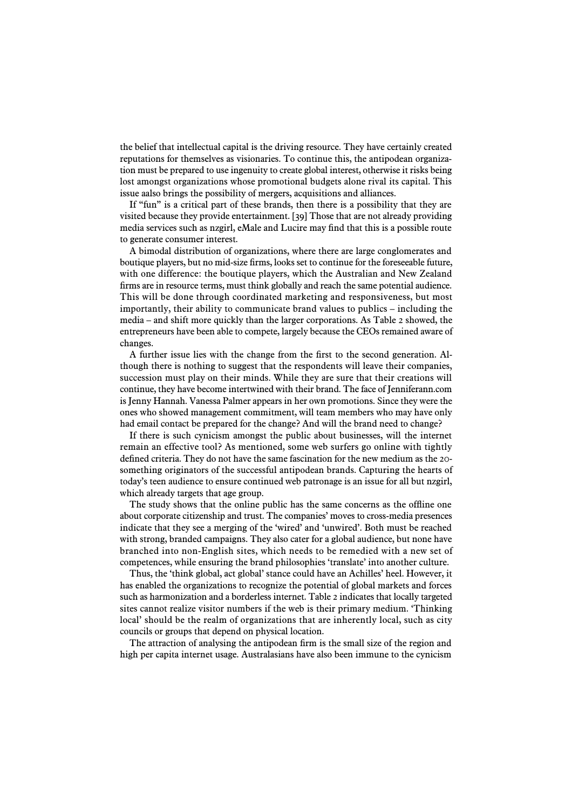the belief that intellectual capital is the driving resource. They have certainly created reputations for themselves as visionaries. To continue this, the antipodean organization must be prepared to use ingenuity to create global interest, otherwise it risks being lost amongst organizations whose promotional budgets alone rival its capital. This issue aalso brings the possibility of mergers, acquisitions and alliances.

If "fun" is a critical part of these brands, then there is a possibility that they are visited because they provide entertainment. [39] Those that are not already providing media services such as nzgirl, eMale and Lucire may find that this is a possible route to generate consumer interest.

A bimodal distribution of organizations, where there are large conglomerates and boutique players, but no mid-size firms, looks set to continue for the foreseeable future, with one difference: the boutique players, which the Australian and New Zealand firms are in resource terms, must think globally and reach the same potential audience. This will be done through coordinated marketing and responsiveness, but most importantly, their ability to communicate brand values to publics – including the media – and shift more quickly than the larger corporations. As Table 2 showed, the entrepreneurs have been able to compete, largely because the CEOs remained aware of changes.

A further issue lies with the change from the first to the second generation. Although there is nothing to suggest that the respondents will leave their companies, succession must play on their minds. While they are sure that their creations will continue, they have become intertwined with their brand. The face of Jenniferann.com is Jenny Hannah. Vanessa Palmer appears in her own promotions. Since they were the ones who showed management commitment, will team members who may have only had email contact be prepared for the change? And will the brand need to change?

If there is such cynicism amongst the public about businesses, will the internet remain an effective tool? As mentioned, some web surfers go online with tightly defined criteria. They do not have the same fascination for the new medium as the 20something originators of the successful antipodean brands. Capturing the hearts of today's teen audience to ensure continued web patronage is an issue for all but nzgirl, which already targets that age group.

The study shows that the online public has the same concerns as the offline one about corporate citizenship and trust. The companies' moves to cross-media presences indicate that they see a merging of the 'wired' and 'unwired'. Both must be reached with strong, branded campaigns. They also cater for a global audience, but none have branched into non-English sites, which needs to be remedied with a new set of competences, while ensuring the brand philosophies 'translate' into another culture.

Thus, the 'think global, act global' stance could have an Achilles' heel. However, it has enabled the organizations to recognize the potential of global markets and forces such as harmonization and a borderless internet. Table 2 indicates that locally targeted sites cannot realize visitor numbers if the web is their primary medium. 'Thinking local' should be the realm of organizations that are inherently local, such as city councils or groups that depend on physical location.

The attraction of analysing the antipodean firm is the small size of the region and high per capita internet usage. Australasians have also been immune to the cynicism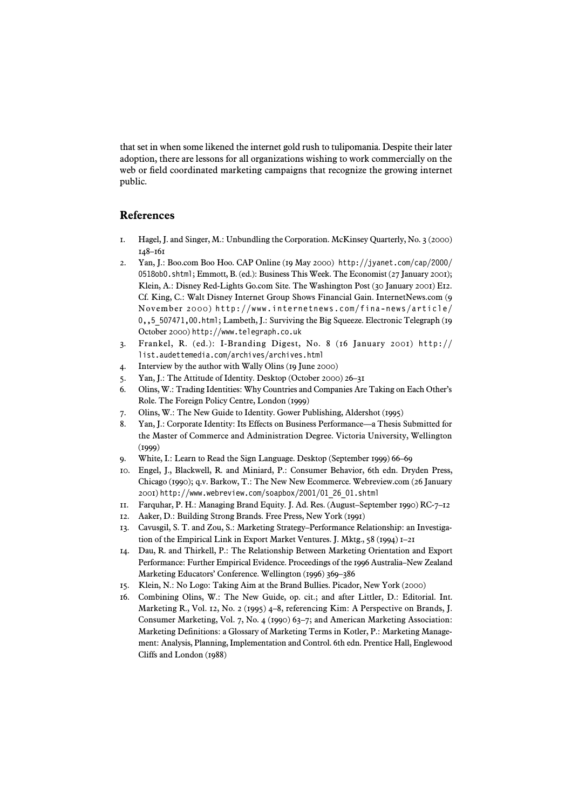that set in when some likened the internet gold rush to tulipomania. Despite their later adoption, there are lessons for all organizations wishing to work commercially on the web or field coordinated marketing campaigns that recognize the growing internet public.

## **References**

- 1. Hagel, J. and Singer, M.: Unbundling the Corporation. McKinsey Quarterly, No. 3 (2000) 148–161
- 2. Yan, J.: Boo.com Boo Hoo. CAP Online (19 May 2000) http://jyanet.com/cap/2000/ 0518ob0.shtml; Emmott, B. (ed.): Business This Week. The Economist (27 January 2001); Klein, A.: Disney Red-Lights Go.com Site. The Washington Post (30 January 2001) E12. Cf. King, C.: Walt Disney Internet Group Shows Financial Gain. InternetNews.com (9 November 2000) http://www.internetnews.com/fina-news/article/ 0,,5 507471,00.html; Lambeth, J.: Surviving the Big Squeeze. Electronic Telegraph (19 October 2000) http://www.telegraph.co.uk
- 3. Frankel, R. (ed.): I-Branding Digest, No. 8 (16 January 2001)  $http://$ list.audettemedia.com/archives/archives.html
- 4. Interview by the author with Wally Olins (19 June 2000)
- 5. Yan, J.: The Attitude of Identity. Desktop (October 2000) 26–31
- 6. Olins, W.: Trading Identities: Why Countries and Companies Are Taking on Each Other's Role. The Foreign Policy Centre, London (1999)
- 7. Olins, W.: The New Guide to Identity. Gower Publishing, Aldershot (1995)
- 8. Yan, J.: Corporate Identity: Its Effects on Business Performance—a Thesis Submitted for the Master of Commerce and Administration Degree. Victoria University, Wellington (1999)
- 9. White, I.: Learn to Read the Sign Language. Desktop (September 1999) 66–69
- 10. Engel, J., Blackwell, R. and Miniard, P.: Consumer Behavior, 6th edn. Dryden Press, Chicago (1990); q.v. Barkow, T.: The New New Ecommerce. Webreview.com (26 January 2001) http://www.webreview.com/soapbox/2001/01 26 01.shtml
- 11. Farquhar, P. H.: Managing Brand Equity. J. Ad. Res. (August–September 1990) RC-7–12
- 12. Aaker, D.: Building Strong Brands. Free Press, New York (1991)
- 13. Cavusgil, S. T. and Zou, S.: Marketing Strategy–Performance Relationship: an Investigation of the Empirical Link in Export Market Ventures. J. Mktg., 58 (1994) 1–21
- 14. Dau, R. and Thirkell, P.: The Relationship Between Marketing Orientation and Export Performance: Further Empirical Evidence. Proceedings of the 1996 Australia–New Zealand Marketing Educators' Conference. Wellington (1996) 369–386
- 15. Klein, N.: No Logo: Taking Aim at the Brand Bullies. Picador, New York (2000)
- 16. Combining Olins, W.: The New Guide, op. cit.; and after Littler, D.: Editorial. Int. Marketing R., Vol. 12, No. 2 (1995) 4–8, referencing Kim: A Perspective on Brands, J. Consumer Marketing, Vol. 7, No. 4 (1990) 63–7; and American Marketing Association: Marketing Definitions: a Glossary of Marketing Terms in Kotler, P.: Marketing Management: Analysis, Planning, Implementation and Control. 6th edn. Prentice Hall, Englewood Cliffs and London (1988)